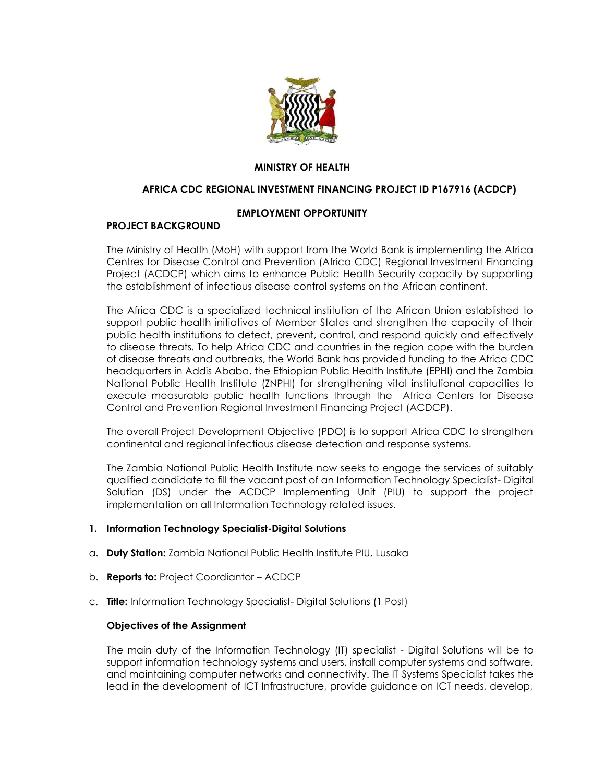

# **MINISTRY OF HEALTH**

#### **AFRICA CDC REGIONAL INVESTMENT FINANCING PROJECT ID P167916 (ACDCP)**

### **EMPLOYMENT OPPORTUNITY**

### **PROJECT BACKGROUND**

The Ministry of Health (MoH) with support from the World Bank is implementing the Africa Centres for Disease Control and Prevention (Africa CDC) Regional Investment Financing Project (ACDCP) which aims to enhance Public Health Security capacity by supporting the establishment of infectious disease control systems on the African continent.

The Africa CDC is a specialized technical institution of the African Union established to support public health initiatives of Member States and strengthen the capacity of their public health institutions to detect, prevent, control, and respond quickly and effectively to disease threats. To help Africa CDC and countries in the region cope with the burden of disease threats and outbreaks, the World Bank has provided funding to the Africa CDC headquarters in Addis Ababa, the Ethiopian Public Health Institute (EPHI) and the Zambia National Public Health Institute (ZNPHI) for strengthening vital institutional capacities to execute measurable public health functions through the Africa Centers for Disease Control and Prevention Regional Investment Financing Project (ACDCP).

The overall Project Development Objective (PDO) is to support Africa CDC to strengthen continental and regional infectious disease detection and response systems.

The Zambia National Public Health Institute now seeks to engage the services of suitably qualified candidate to fill the vacant post of an Information Technology Specialist- Digital Solution (DS) under the ACDCP Implementing Unit (PIU) to support the project implementation on all Information Technology related issues.

#### **1. Information Technology Specialist-Digital Solutions**

- a. **Duty Station:** Zambia National Public Health Institute PIU, Lusaka
- b. **Reports to:** Project Coordiantor ACDCP
- c. **Title:** Information Technology Specialist- Digital Solutions (1 Post)

#### **Objectives of the Assignment**

The main duty of the Information Technology (IT) specialist - Digital Solutions will be to support information technology systems and users, install computer systems and software, and maintaining computer networks and connectivity. The IT Systems Specialist takes the lead in the development of ICT Infrastructure, provide guidance on ICT needs, develop,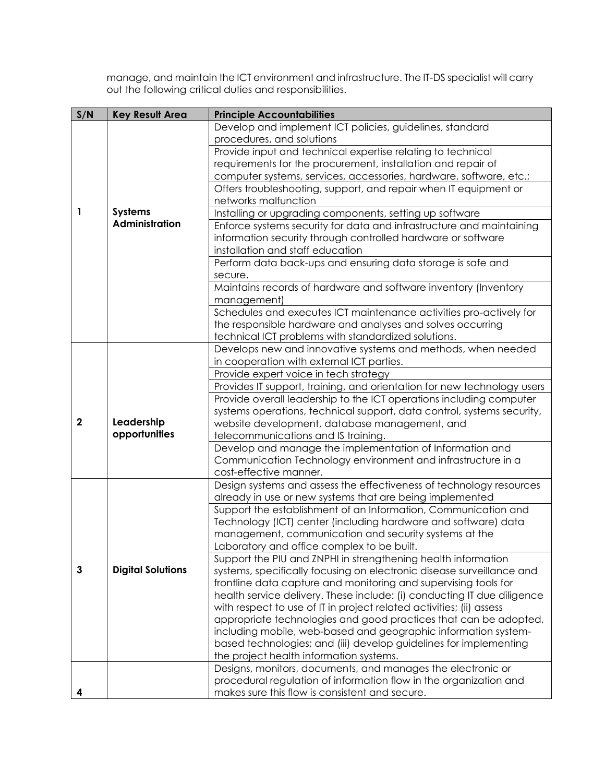manage, and maintain the ICT environment and infrastructure. The IT-DS specialist will carry out the following critical duties and responsibilities.

| S/N         | <b>Key Result Area</b>      | <b>Principle Accountabilities</b>                                       |
|-------------|-----------------------------|-------------------------------------------------------------------------|
|             |                             | Develop and implement ICT policies, guidelines, standard                |
|             |                             | procedures, and solutions                                               |
|             |                             | Provide input and technical expertise relating to technical             |
|             |                             | requirements for the procurement, installation and repair of            |
|             |                             | computer systems, services, accessories, hardware, software, etc.;      |
|             |                             | Offers troubleshooting, support, and repair when IT equipment or        |
|             |                             | networks malfunction                                                    |
| 1           | Systems                     | Installing or upgrading components, setting up software                 |
|             | <b>Administration</b>       | Enforce systems security for data and infrastructure and maintaining    |
|             |                             | information security through controlled hardware or software            |
|             |                             | installation and staff education                                        |
|             |                             | Perform data back-ups and ensuring data storage is safe and             |
|             |                             | secure.                                                                 |
|             |                             | Maintains records of hardware and software inventory (Inventory         |
|             |                             | management)                                                             |
|             |                             | Schedules and executes ICT maintenance activities pro-actively for      |
|             |                             | the responsible hardware and analyses and solves occurring              |
|             |                             | technical ICT problems with standardized solutions.                     |
|             |                             | Develops new and innovative systems and methods, when needed            |
|             | Leadership<br>opportunities | in cooperation with external ICT parties.                               |
|             |                             | Provide expert voice in tech strategy                                   |
|             |                             | Provides IT support, training, and orientation for new technology users |
|             |                             | Provide overall leadership to the ICT operations including computer     |
|             |                             | systems operations, technical support, data control, systems security,  |
| $\mathbf 2$ |                             | website development, database management, and                           |
|             |                             | telecommunications and IS training.                                     |
|             |                             | Develop and manage the implementation of Information and                |
|             |                             | Communication Technology environment and infrastructure in a            |
|             |                             | cost-effective manner.                                                  |
|             | <b>Digital Solutions</b>    | Design systems and assess the effectiveness of technology resources     |
|             |                             | already in use or new systems that are being implemented                |
|             |                             | Support the establishment of an Information, Communication and          |
|             |                             | Technology (ICT) center (including hardware and software) data          |
|             |                             | management, communication and security systems at the                   |
|             |                             | Laboratory and office complex to be built.                              |
|             |                             | Support the PIU and ZNPHI in strengthening health information           |
| 3           |                             | systems, specifically focusing on electronic disease surveillance and   |
|             |                             | frontline data capture and monitoring and supervising tools for         |
|             |                             | health service delivery. These include: (i) conducting IT due diligence |
|             |                             | with respect to use of IT in project related activities; (ii) assess    |
|             |                             | appropriate technologies and good practices that can be adopted,        |
|             |                             | including mobile, web-based and geographic information system-          |
|             |                             | based technologies; and (iii) develop guidelines for implementing       |
|             |                             | the project health information systems.                                 |
|             |                             | Designs, monitors, documents, and manages the electronic or             |
|             |                             | procedural regulation of information flow in the organization and       |
|             |                             | makes sure this flow is consistent and secure.                          |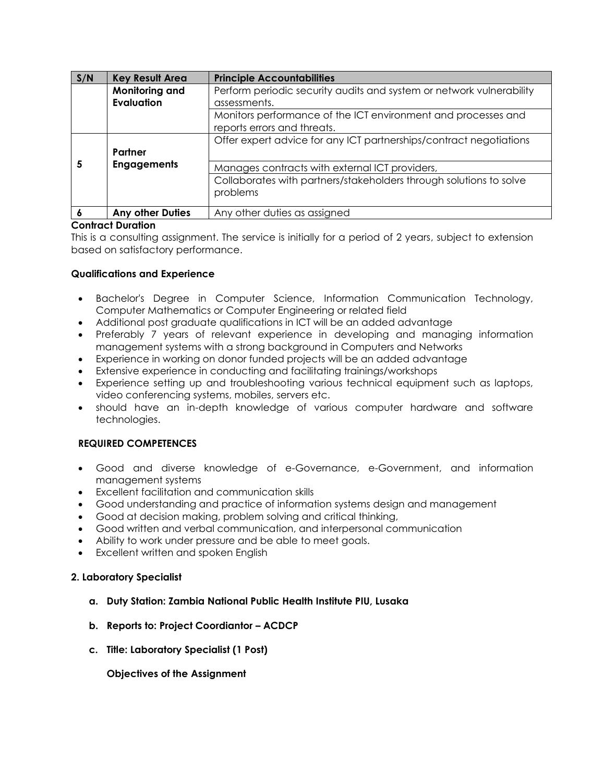| S/N | <b>Key Result Area</b>  | <b>Principle Accountabilities</b>                                                            |
|-----|-------------------------|----------------------------------------------------------------------------------------------|
|     | Monitoring and          | Perform periodic security audits and system or network vulnerability                         |
|     | <b>Evaluation</b>       | assessments.                                                                                 |
|     |                         | Monitors performance of the ICT environment and processes and<br>reports errors and threats. |
|     |                         | Offer expert advice for any ICT partnerships/contract negotiations                           |
|     | Partner                 |                                                                                              |
|     | <b>Engagements</b>      | Manages contracts with external ICT providers,                                               |
|     |                         | Collaborates with partners/stakeholders through solutions to solve                           |
|     |                         | problems                                                                                     |
|     |                         |                                                                                              |
|     | <b>Any other Duties</b> | Any other duties as assigned                                                                 |

# **Contract Duration**

This is a consulting assignment. The service is initially for a period of 2 years, subject to extension based on satisfactory performance.

### **Qualifications and Experience**

- Bachelor's Degree in Computer Science, Information Communication Technology, Computer Mathematics or Computer Engineering or related field
- Additional post graduate qualifications in ICT will be an added advantage
- Preferably 7 years of relevant experience in developing and managing information management systems with a strong background in Computers and Networks
- Experience in working on donor funded projects will be an added advantage
- Extensive experience in conducting and facilitating trainings/workshops
- Experience setting up and troubleshooting various technical equipment such as laptops, video conferencing systems, mobiles, servers etc.
- should have an in-depth knowledge of various computer hardware and software technologies.

### **REQUIRED COMPETENCES**

- Good and diverse knowledge of e-Governance, e-Government, and information management systems
- Excellent facilitation and communication skills
- Good understanding and practice of information systems design and management
- Good at decision making, problem solving and critical thinking,
- Good written and verbal communication, and interpersonal communication
- Ability to work under pressure and be able to meet goals.
- Excellent written and spoken English

### **2. Laboratory Specialist**

- **a. Duty Station: Zambia National Public Health Institute PIU, Lusaka**
- **b. Reports to: Project Coordiantor – ACDCP**
- **c. Title: Laboratory Specialist (1 Post)**

**Objectives of the Assignment**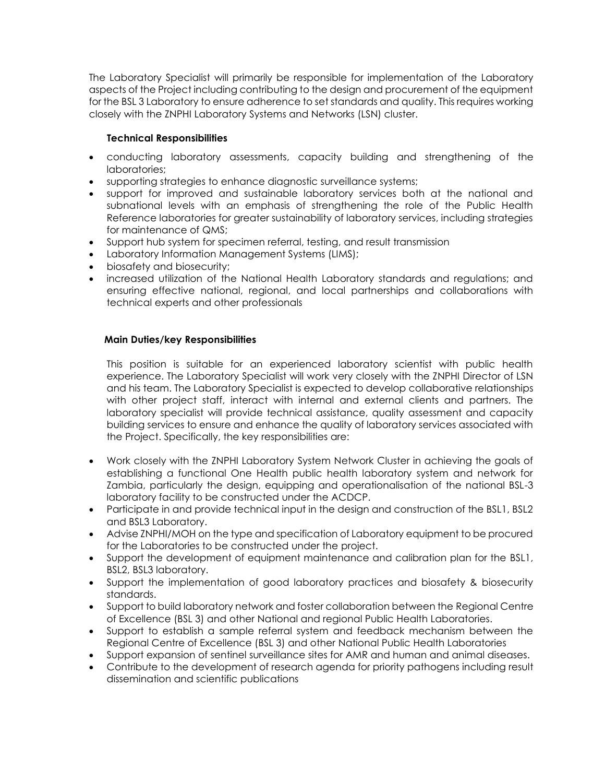The Laboratory Specialist will primarily be responsible for implementation of the Laboratory aspects of the Project including contributing to the design and procurement of the equipment for the BSL 3 Laboratory to ensure adherence to set standards and quality. This requires working closely with the ZNPHI Laboratory Systems and Networks (LSN) cluster.

# **Technical Responsibilities**

- conducting laboratory assessments, capacity building and strengthening of the laboratories;
- supporting strategies to enhance diagnostic surveillance systems;
- support for improved and sustainable laboratory services both at the national and subnational levels with an emphasis of strengthening the role of the Public Health Reference laboratories for greater sustainability of laboratory services, including strategies for maintenance of QMS;
- Support hub system for specimen referral, testing, and result transmission
- Laboratory Information Management Systems (LIMS);
- biosafety and biosecurity;
- increased utilization of the National Health Laboratory standards and regulations; and ensuring effective national, regional, and local partnerships and collaborations with technical experts and other professionals

# **Main Duties/key Responsibilities**

This position is suitable for an experienced laboratory scientist with public health experience. The Laboratory Specialist will work very closely with the ZNPHI Director of LSN and his team. The Laboratory Specialist is expected to develop collaborative relationships with other project staff, interact with internal and external clients and partners. The laboratory specialist will provide technical assistance, quality assessment and capacity building services to ensure and enhance the quality of laboratory services associated with the Project. Specifically, the key responsibilities are:

- Work closely with the ZNPHI Laboratory System Network Cluster in achieving the goals of establishing a functional One Health public health laboratory system and network for Zambia, particularly the design, equipping and operationalisation of the national BSL-3 laboratory facility to be constructed under the ACDCP.
- Participate in and provide technical input in the design and construction of the BSL1, BSL2 and BSL3 Laboratory.
- Advise ZNPHI/MOH on the type and specification of Laboratory equipment to be procured for the Laboratories to be constructed under the project.
- Support the development of equipment maintenance and calibration plan for the BSL1, BSL2, BSL3 laboratory.
- Support the implementation of good laboratory practices and biosafety & biosecurity standards.
- Support to build laboratory network and foster collaboration between the Regional Centre of Excellence (BSL 3) and other National and regional Public Health Laboratories.
- Support to establish a sample referral system and feedback mechanism between the Regional Centre of Excellence (BSL 3) and other National Public Health Laboratories
- Support expansion of sentinel surveillance sites for AMR and human and animal diseases.
- Contribute to the development of research agenda for priority pathogens including result dissemination and scientific publications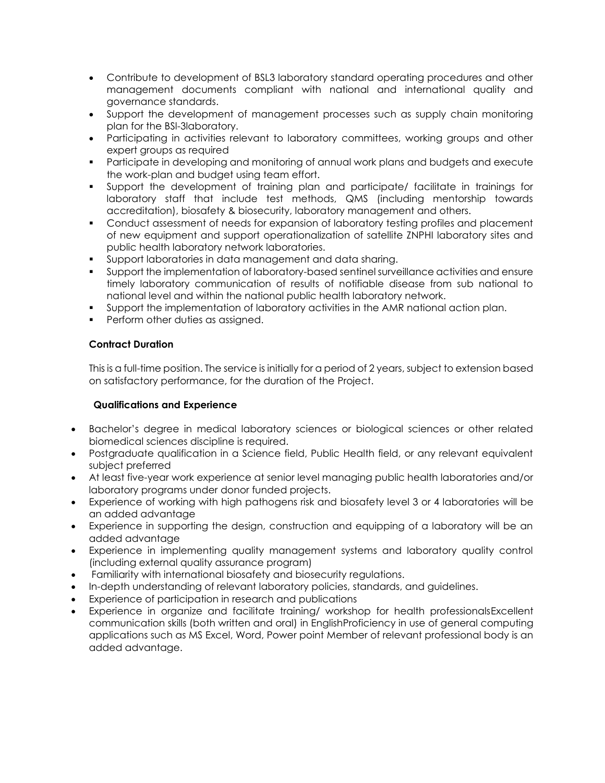- Contribute to development of BSL3 laboratory standard operating procedures and other management documents compliant with national and international quality and governance standards.
- Support the development of management processes such as supply chain monitoring plan for the BSl-3laboratory.
- Participating in activities relevant to laboratory committees, working groups and other expert groups as required
- **•** Participate in developing and monitoring of annual work plans and budgets and execute the work-plan and budget using team effort.
- Support the development of training plan and participate/ facilitate in trainings for laboratory staff that include test methods, QMS (including mentorship towards accreditation), biosafety & biosecurity, laboratory management and others.
- Conduct assessment of needs for expansion of laboratory testing profiles and placement of new equipment and support operationalization of satellite ZNPHI laboratory sites and public health laboratory network laboratories.
- Support laboratories in data management and data sharing.
- Support the implementation of laboratory-based sentinel surveillance activities and ensure timely laboratory communication of results of notifiable disease from sub national to national level and within the national public health laboratory network.
- Support the implementation of laboratory activities in the AMR national action plan.
- **•** Perform other duties as assigned.

# **Contract Duration**

This is a full-time position. The service is initially for a period of 2 years, subject to extension based on satisfactory performance, for the duration of the Project.

# **Qualifications and Experience**

- Bachelor's degree in medical laboratory sciences or biological sciences or other related biomedical sciences discipline is required.
- Postgraduate qualification in a Science field, Public Health field, or any relevant equivalent subject preferred
- At least five-year work experience at senior level managing public health laboratories and/or laboratory programs under donor funded projects.
- Experience of working with high pathogens risk and biosafety level 3 or 4 laboratories will be an added advantage
- Experience in supporting the design, construction and equipping of a laboratory will be an added advantage
- Experience in implementing quality management systems and laboratory quality control (including external quality assurance program)
- Familiarity with international biosafety and biosecurity regulations.
- In-depth understanding of relevant laboratory policies, standards, and guidelines.
- Experience of participation in research and publications
- Experience in organize and facilitate training/ workshop for health professionalsExcellent communication skills (both written and oral) in EnglishProficiency in use of general computing applications such as MS Excel, Word, Power point Member of relevant professional body is an added advantage.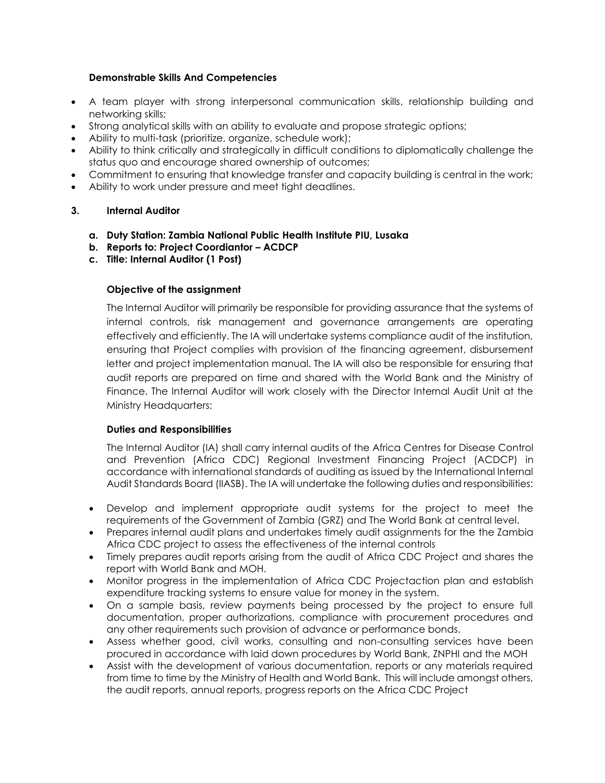# **Demonstrable Skills And Competencies**

- A team player with strong interpersonal communication skills, relationship building and networking skills;
- Strong analytical skills with an ability to evaluate and propose strategic options;
- Ability to multi-task (prioritize, organize, schedule work);
- Ability to think critically and strategically in difficult conditions to diplomatically challenge the status quo and encourage shared ownership of outcomes;
- Commitment to ensuring that knowledge transfer and capacity building is central in the work;
- Ability to work under pressure and meet tight deadlines.

# **3. Internal Auditor**

- **a. Duty Station: Zambia National Public Health Institute PIU, Lusaka**
- **b. Reports to: Project Coordiantor – ACDCP**
- **c. Title: Internal Auditor (1 Post)**

# **Objective of the assignment**

The Internal Auditor will primarily be responsible for providing assurance that the systems of internal controls, risk management and governance arrangements are operating effectively and efficiently. The IA will undertake systems compliance audit of the institution, ensuring that Project complies with provision of the financing agreement, disbursement letter and project implementation manual. The IA will also be responsible for ensuring that audit reports are prepared on time and shared with the World Bank and the Ministry of Finance. The Internal Auditor will work closely with the Director Internal Audit Unit at the Ministry Headquarters:

### **Duties and Responsibilities**

The Internal Auditor (IA) shall carry internal audits of the Africa Centres for Disease Control and Prevention (Africa CDC) Regional Investment Financing Project (ACDCP) in accordance with international standards of auditing as issued by the International Internal Audit Standards Board (IIASB). The IA will undertake the following duties and responsibilities:

- Develop and implement appropriate audit systems for the project to meet the requirements of the Government of Zambia (GRZ) and The World Bank at central level.
- Prepares internal audit plans and undertakes timely audit assignments for the the Zambia Africa CDC project to assess the effectiveness of the internal controls
- Timely prepares audit reports arising from the audit of Africa CDC Project and shares the report with World Bank and MOH.
- Monitor progress in the implementation of Africa CDC Projectaction plan and establish expenditure tracking systems to ensure value for money in the system.
- On a sample basis, review payments being processed by the project to ensure full documentation, proper authorizations, compliance with procurement procedures and any other requirements such provision of advance or performance bonds.
- Assess whether good, civil works, consulting and non-consulting services have been procured in accordance with laid down procedures by World Bank, ZNPHI and the MOH
- Assist with the development of various documentation, reports or any materials required from time to time by the Ministry of Health and World Bank. This will include amongst others, the audit reports, annual reports, progress reports on the Africa CDC Project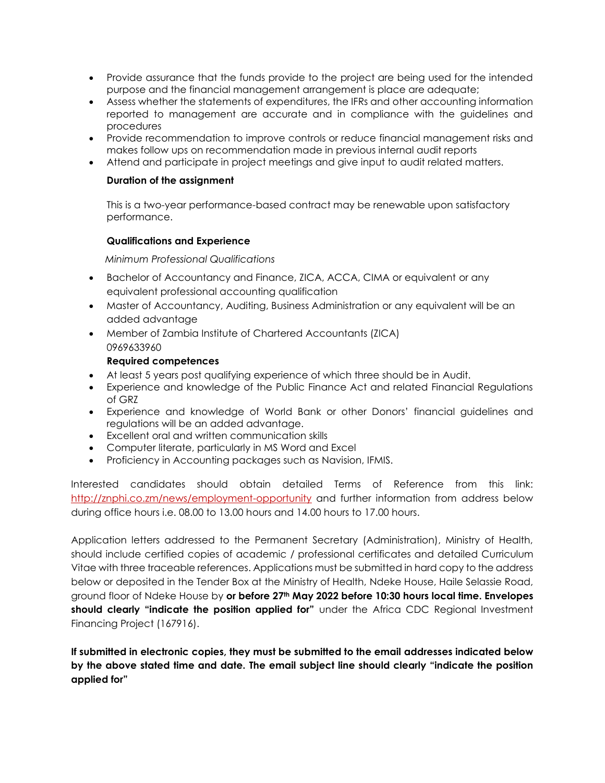- Provide assurance that the funds provide to the project are being used for the intended purpose and the financial management arrangement is place are adequate;
- Assess whether the statements of expenditures, the IFRs and other accounting information reported to management are accurate and in compliance with the guidelines and procedures
- Provide recommendation to improve controls or reduce financial management risks and makes follow ups on recommendation made in previous internal audit reports
- Attend and participate in project meetings and give input to audit related matters.

# **Duration of the assignment**

This is a two-year performance-based contract may be renewable upon satisfactory performance.

# **Qualifications and Experience**

 *Minimum Professional Qualifications*

- Bachelor of Accountancy and Finance, ZICA, ACCA, CIMA or equivalent or any equivalent professional accounting qualification
- Master of Accountancy, Auditing, Business Administration or any equivalent will be an added advantage
- Member of Zambia Institute of Chartered Accountants (ZICA) 0969633960

# **Required competences**

- At least 5 years post qualifying experience of which three should be in Audit.
- Experience and knowledge of the Public Finance Act and related Financial Regulations of GRZ
- Experience and knowledge of World Bank or other Donors' financial guidelines and regulations will be an added advantage.
- Excellent oral and written communication skills
- Computer literate, particularly in MS Word and Excel
- Proficiency in Accounting packages such as Navision, IFMIS.

Interested candidates should obtain detailed Terms of Reference from this link: <http://znphi.co.zm/news/employment-opportunity> and further information from address below during office hours i.e. 08.00 to 13.00 hours and 14.00 hours to 17.00 hours.

Application letters addressed to the Permanent Secretary (Administration), Ministry of Health, should include certified copies of academic / professional certificates and detailed Curriculum Vitae with three traceable references. Applications must be submitted in hard copy to the address below or deposited in the Tender Box at the Ministry of Health, Ndeke House, Haile Selassie Road, ground floor of Ndeke House by **or before 27th May 2022 before 10:30 hours local time. Envelopes should clearly "indicate the position applied for"** under the Africa CDC Regional Investment Financing Project (167916).

**If submitted in electronic copies, they must be submitted to the email addresses indicated below by the above stated time and date. The email subject line should clearly "indicate the position applied for"**